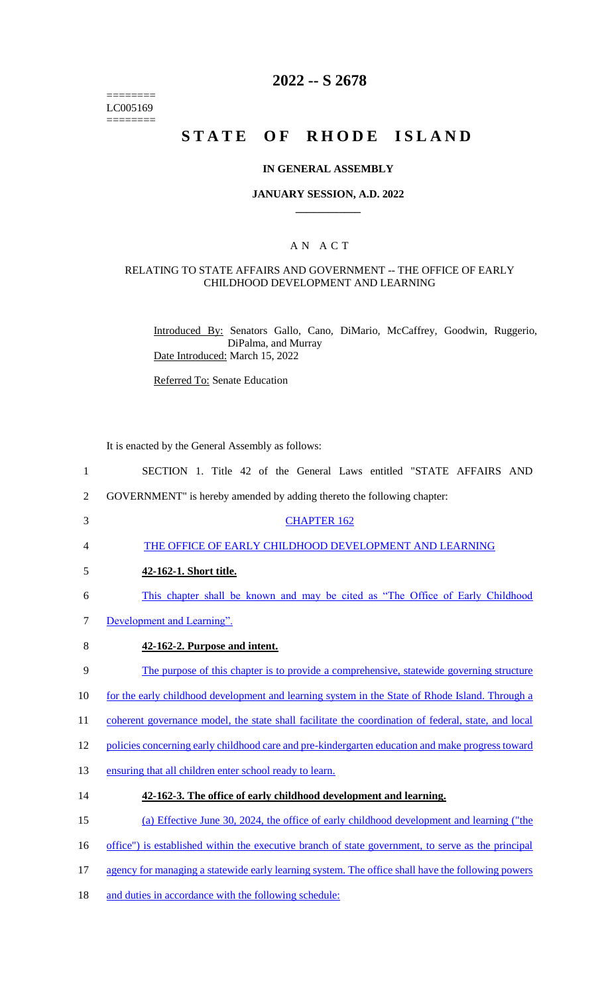======== LC005169  $=$ 

## **2022 -- S 2678**

# **STATE OF RHODE ISLAND**

#### **IN GENERAL ASSEMBLY**

#### **JANUARY SESSION, A.D. 2022 \_\_\_\_\_\_\_\_\_\_\_\_**

## A N A C T

#### RELATING TO STATE AFFAIRS AND GOVERNMENT -- THE OFFICE OF EARLY CHILDHOOD DEVELOPMENT AND LEARNING

Introduced By: Senators Gallo, Cano, DiMario, McCaffrey, Goodwin, Ruggerio, DiPalma, and Murray Date Introduced: March 15, 2022

Referred To: Senate Education

It is enacted by the General Assembly as follows:

| $\mathbf{1}$   | SECTION 1. Title 42 of the General Laws entitled "STATE AFFAIRS AND                                 |
|----------------|-----------------------------------------------------------------------------------------------------|
| $\overline{2}$ | GOVERNMENT" is hereby amended by adding thereto the following chapter:                              |
| 3              | <b>CHAPTER 162</b>                                                                                  |
| $\overline{4}$ | THE OFFICE OF EARLY CHILDHOOD DEVELOPMENT AND LEARNING                                              |
| 5              | 42-162-1. Short title.                                                                              |
| 6              | This chapter shall be known and may be cited as "The Office of Early Childhood"                     |
| $\overline{7}$ | Development and Learning".                                                                          |
| 8              | 42-162-2. Purpose and intent.                                                                       |
| 9              | The purpose of this chapter is to provide a comprehensive, statewide governing structure            |
| 10             | for the early childhood development and learning system in the State of Rhode Island. Through a     |
| 11             | coherent governance model, the state shall facilitate the coordination of federal, state, and local |
| 12             | policies concerning early childhood care and pre-kindergarten education and make progress toward    |
| 13             | ensuring that all children enter school ready to learn.                                             |
| 14             | 42-162-3. The office of early childhood development and learning.                                   |
| 15             | (a) Effective June 30, 2024, the office of early childhood development and learning ("the           |
| 16             | office") is established within the executive branch of state government, to serve as the principal  |
| 17             | agency for managing a statewide early learning system. The office shall have the following powers   |
| 18             | and duties in accordance with the following schedule:                                               |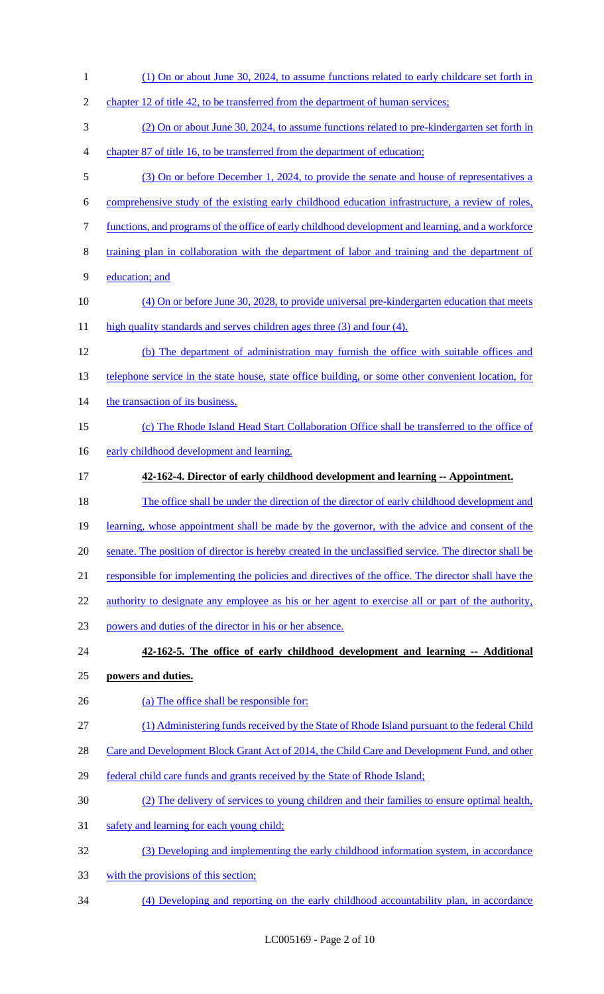(1) On or about June 30, 2024, to assume functions related to early childcare set forth in 2 chapter 12 of title 42, to be transferred from the department of human services; (2) On or about June 30, 2024, to assume functions related to pre-kindergarten set forth in chapter 87 of title 16, to be transferred from the department of education; (3) On or before December 1, 2024, to provide the senate and house of representatives a comprehensive study of the existing early childhood education infrastructure, a review of roles, functions, and programs of the office of early childhood development and learning, and a workforce training plan in collaboration with the department of labor and training and the department of education; and (4) On or before June 30, 2028, to provide universal pre-kindergarten education that meets 11 high quality standards and serves children ages three (3) and four (4). (b) The department of administration may furnish the office with suitable offices and 13 telephone service in the state house, state office building, or some other convenient location, for 14 the transaction of its business. (c) The Rhode Island Head Start Collaboration Office shall be transferred to the office of 16 early childhood development and learning. **42-162-4. Director of early childhood development and learning -- Appointment.**  The office shall be under the direction of the director of early childhood development and 19 learning, whose appointment shall be made by the governor, with the advice and consent of the senate. The position of director is hereby created in the unclassified service. The director shall be responsible for implementing the policies and directives of the office. The director shall have the 22 authority to designate any employee as his or her agent to exercise all or part of the authority, powers and duties of the director in his or her absence. **42-162-5. The office of early childhood development and learning -- Additional powers and duties.**  26 (a) The office shall be responsible for: (1) Administering funds received by the State of Rhode Island pursuant to the federal Child 28 Care and Development Block Grant Act of 2014, the Child Care and Development Fund, and other federal child care funds and grants received by the State of Rhode Island; (2) The delivery of services to young children and their families to ensure optimal health, safety and learning for each young child; (3) Developing and implementing the early childhood information system, in accordance with the provisions of this section; (4) Developing and reporting on the early childhood accountability plan, in accordance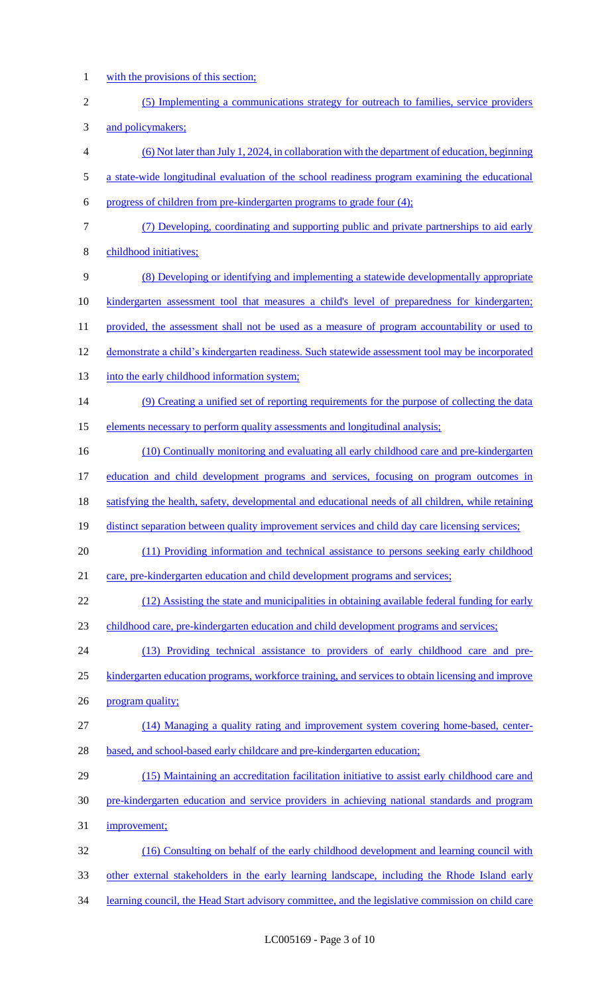- with the provisions of this section;
- (5) Implementing a communications strategy for outreach to families, service providers and policymakers; (6) Not later than July 1, 2024, in collaboration with the department of education, beginning a state-wide longitudinal evaluation of the school readiness program examining the educational progress of children from pre-kindergarten programs to grade four (4); (7) Developing, coordinating and supporting public and private partnerships to aid early childhood initiatives; (8) Developing or identifying and implementing a statewide developmentally appropriate kindergarten assessment tool that measures a child's level of preparedness for kindergarten; 11 provided, the assessment shall not be used as a measure of program accountability or used to 12 demonstrate a child's kindergarten readiness. Such statewide assessment tool may be incorporated 13 into the early childhood information system; (9) Creating a unified set of reporting requirements for the purpose of collecting the data 15 elements necessary to perform quality assessments and longitudinal analysis; 16 (10) Continually monitoring and evaluating all early childhood care and pre-kindergarten education and child development programs and services, focusing on program outcomes in satisfying the health, safety, developmental and educational needs of all children, while retaining 19 distinct separation between quality improvement services and child day care licensing services; (11) Providing information and technical assistance to persons seeking early childhood 21 care, pre-kindergarten education and child development programs and services; (12) Assisting the state and municipalities in obtaining available federal funding for early childhood care, pre-kindergarten education and child development programs and services; (13) Providing technical assistance to providers of early childhood care and pre- kindergarten education programs, workforce training, and services to obtain licensing and improve 26 program quality; (14) Managing a quality rating and improvement system covering home-based, center-28 based, and school-based early childcare and pre-kindergarten education; (15) Maintaining an accreditation facilitation initiative to assist early childhood care and pre-kindergarten education and service providers in achieving national standards and program improvement; (16) Consulting on behalf of the early childhood development and learning council with other external stakeholders in the early learning landscape, including the Rhode Island early learning council, the Head Start advisory committee, and the legislative commission on child care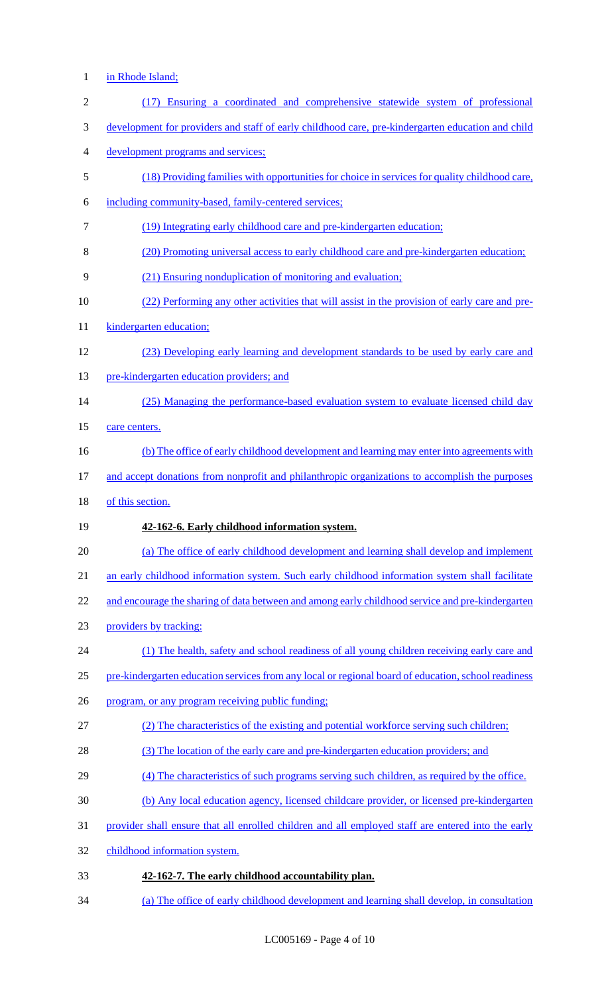- in Rhode Island;
- (17) Ensuring a coordinated and comprehensive statewide system of professional development for providers and staff of early childhood care, pre-kindergarten education and child development programs and services; (18) Providing families with opportunities for choice in services for quality childhood care, including community-based, family-centered services; (19) Integrating early childhood care and pre-kindergarten education; (20) Promoting universal access to early childhood care and pre-kindergarten education; (21) Ensuring nonduplication of monitoring and evaluation; (22) Performing any other activities that will assist in the provision of early care and pre-11 kindergarten education; (23) Developing early learning and development standards to be used by early care and 13 pre-kindergarten education providers; and 14 (25) Managing the performance-based evaluation system to evaluate licensed child day 15 care centers. (b) The office of early childhood development and learning may enter into agreements with and accept donations from nonprofit and philanthropic organizations to accomplish the purposes of this section. **42-162-6. Early childhood information system.**  (a) The office of early childhood development and learning shall develop and implement 21 an early childhood information system. Such early childhood information system shall facilitate 22 and encourage the sharing of data between and among early childhood service and pre-kindergarten providers by tracking: (1) The health, safety and school readiness of all young children receiving early care and pre-kindergarten education services from any local or regional board of education, school readiness program, or any program receiving public funding; (2) The characteristics of the existing and potential workforce serving such children; 28 (3) The location of the early care and pre-kindergarten education providers; and 29 (4) The characteristics of such programs serving such children, as required by the office. (b) Any local education agency, licensed childcare provider, or licensed pre-kindergarten provider shall ensure that all enrolled children and all employed staff are entered into the early childhood information system. **42-162-7. The early childhood accountability plan.**  (a) The office of early childhood development and learning shall develop, in consultation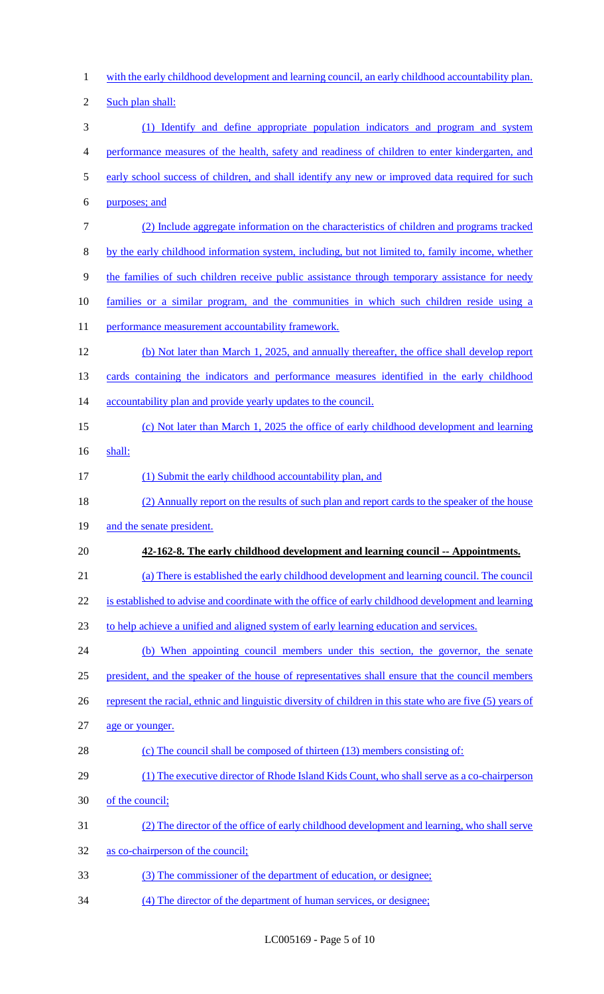with the early childhood development and learning council, an early childhood accountability plan. 2 Such plan shall: (1) Identify and define appropriate population indicators and program and system performance measures of the health, safety and readiness of children to enter kindergarten, and 5 early school success of children, and shall identify any new or improved data required for such purposes; and (2) Include aggregate information on the characteristics of children and programs tracked by the early childhood information system, including, but not limited to, family income, whether the families of such children receive public assistance through temporary assistance for needy families or a similar program, and the communities in which such children reside using a 11 performance measurement accountability framework. (b) Not later than March 1, 2025, and annually thereafter, the office shall develop report 13 cards containing the indicators and performance measures identified in the early childhood 14 accountability plan and provide yearly updates to the council. (c) Not later than March 1, 2025 the office of early childhood development and learning shall: 17 (1) Submit the early childhood accountability plan, and (2) Annually report on the results of such plan and report cards to the speaker of the house 19 and the senate president. **42-162-8. The early childhood development and learning council -- Appointments.**  (a) There is established the early childhood development and learning council. The council is established to advise and coordinate with the office of early childhood development and learning to help achieve a unified and aligned system of early learning education and services. (b) When appointing council members under this section, the governor, the senate president, and the speaker of the house of representatives shall ensure that the council members 26 represent the racial, ethnic and linguistic diversity of children in this state who are five (5) years of age or younger. (c) The council shall be composed of thirteen (13) members consisting of: 29 (1) The executive director of Rhode Island Kids Count, who shall serve as a co-chairperson of the council; (2) The director of the office of early childhood development and learning, who shall serve as co-chairperson of the council; (3) The commissioner of the department of education, or designee; (4) The director of the department of human services, or designee;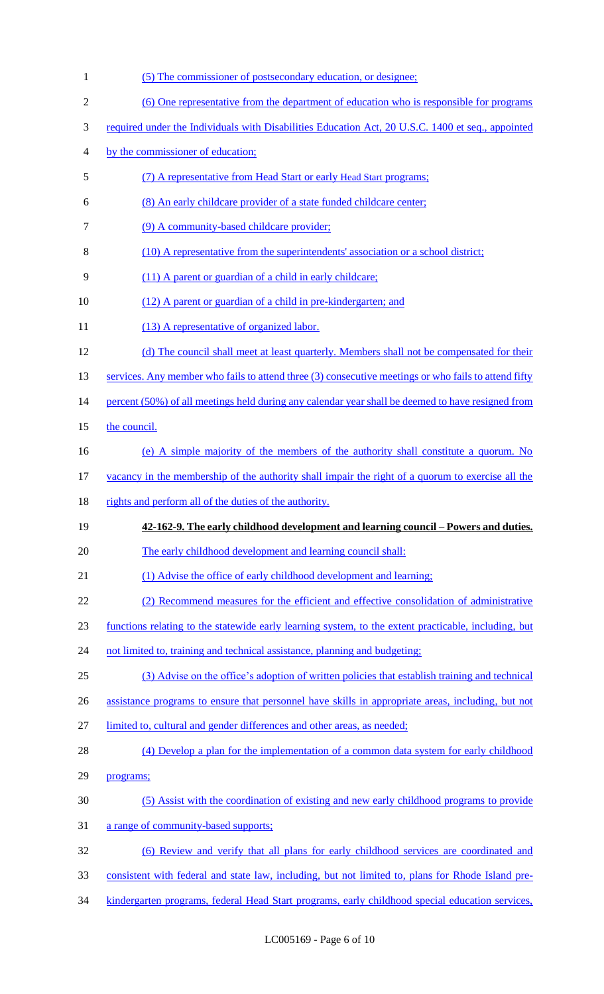| $\mathbf{1}$   | (5) The commissioner of postsecondary education, or designee;                                        |
|----------------|------------------------------------------------------------------------------------------------------|
| $\overline{c}$ | (6) One representative from the department of education who is responsible for programs              |
| 3              | required under the Individuals with Disabilities Education Act, 20 U.S.C. 1400 et seq., appointed    |
| 4              | by the commissioner of education;                                                                    |
| 5              | (7) A representative from Head Start or early Head Start programs;                                   |
| 6              | (8) An early childcare provider of a state funded childcare center;                                  |
| 7              | (9) A community-based childcare provider;                                                            |
| 8              | (10) A representative from the superintendents' association or a school district;                    |
| 9              | (11) A parent or guardian of a child in early childcare;                                             |
| 10             | (12) A parent or guardian of a child in pre-kindergarten; and                                        |
| 11             | (13) A representative of organized labor.                                                            |
| 12             | (d) The council shall meet at least quarterly. Members shall not be compensated for their            |
| 13             | services. Any member who fails to attend three (3) consecutive meetings or who fails to attend fifty |
| 14             | percent (50%) of all meetings held during any calendar year shall be deemed to have resigned from    |
| 15             | the council.                                                                                         |
| 16             | (e) A simple majority of the members of the authority shall constitute a quorum. No                  |
| 17             | vacancy in the membership of the authority shall impair the right of a quorum to exercise all the    |
| 18             | rights and perform all of the duties of the authority.                                               |
| 19             | 42-162-9. The early childhood development and learning council – Powers and duties.                  |
| 20             | The early childhood development and learning council shall:                                          |
| 21             | (1) Advise the office of early childhood development and learning;                                   |
| 22             | (2) Recommend measures for the efficient and effective consolidation of administrative               |
| 23             | functions relating to the statewide early learning system, to the extent practicable, including, but |
| 24             | not limited to, training and technical assistance, planning and budgeting;                           |
| 25             | (3) Advise on the office's adoption of written policies that establish training and technical        |
| 26             | assistance programs to ensure that personnel have skills in appropriate areas, including, but not    |
| 27             | limited to, cultural and gender differences and other areas, as needed;                              |
| 28             | (4) Develop a plan for the implementation of a common data system for early childhood                |
| 29             | programs;                                                                                            |
| 30             | (5) Assist with the coordination of existing and new early childhood programs to provide             |
| 31             | a range of community-based supports;                                                                 |
| 32             | (6) Review and verify that all plans for early childhood services are coordinated and                |
| 33             | consistent with federal and state law, including, but not limited to, plans for Rhode Island pre-    |
|                |                                                                                                      |

34 kindergarten programs, federal Head Start programs, early childhood special education services,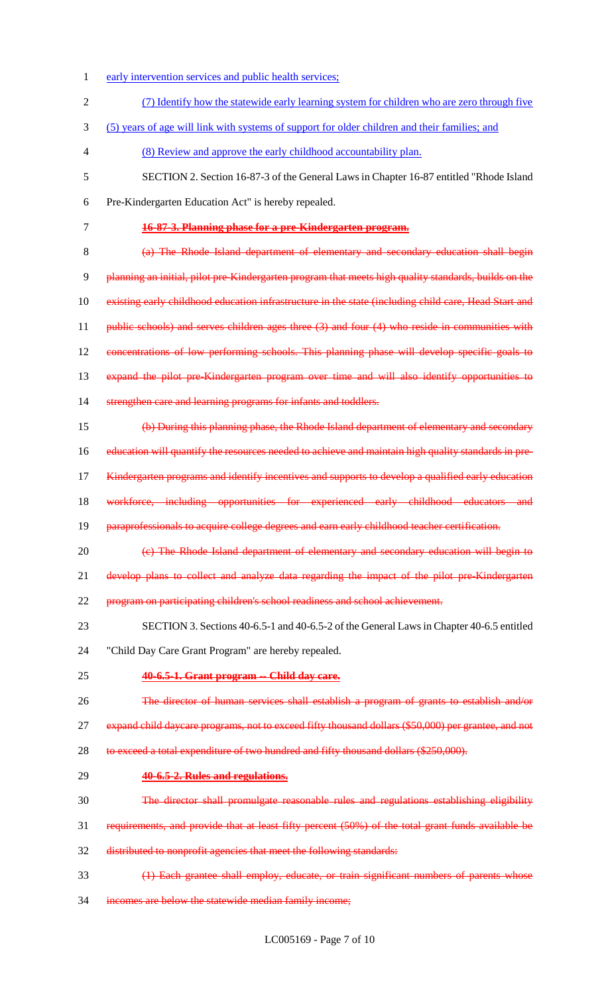early intervention services and public health services; (7) Identify how the statewide early learning system for children who are zero through five (5) years of age will link with systems of support for older children and their families; and (8) Review and approve the early childhood accountability plan. SECTION 2. Section 16-87-3 of the General Laws in Chapter 16-87 entitled "Rhode Island Pre-Kindergarten Education Act" is hereby repealed. **16-87-3. Planning phase for a pre-Kindergarten program.** (a) The Rhode Island department of elementary and secondary education shall begin planning an initial, pilot pre-Kindergarten program that meets high quality standards, builds on the 10 existing early childhood education infrastructure in the state (including child care, Head Start and 11 public schools) and serves children ages three (3) and four (4) who reside in communities with concentrations of low performing schools. This planning phase will develop specific goals to expand the pilot pre-Kindergarten program over time and will also identify opportunities to 14 strengthen care and learning programs for infants and toddlers. (b) During this planning phase, the Rhode Island department of elementary and secondary education will quantify the resources needed to achieve and maintain high quality standards in pre-17 Kindergarten programs and identify incentives and supports to develop a qualified early education 18 workforce, including opportunities for experienced early childhood educators and 19 paraprofessionals to acquire college degrees and earn early childhood teacher certification. 20 (c) The Rhode Island department of elementary and secondary education will begin to 21 develop plans to collect and analyze data regarding the impact of the pilot pre-Kindergarten program on participating children's school readiness and school achievement. SECTION 3. Sections 40-6.5-1 and 40-6.5-2 of the General Laws in Chapter 40-6.5 entitled "Child Day Care Grant Program" are hereby repealed. **40-6.5-1. Grant program -- Child day care.** 26 The director of human services shall establish a program of grants to establish and/or 27 expand child daycare programs, not to exceed fifty thousand dollars (\$50,000) per grantee, and not 28 to exceed a total expenditure of two hundred and fifty thousand dollars (\$250,000). **40-6.5-2. Rules and regulations.** The director shall promulgate reasonable rules and regulations establishing eligibility requirements, and provide that at least fifty percent (50%) of the total grant funds available be distributed to nonprofit agencies that meet the following standards: (1) Each grantee shall employ, educate, or train significant numbers of parents whose incomes are below the statewide median family income;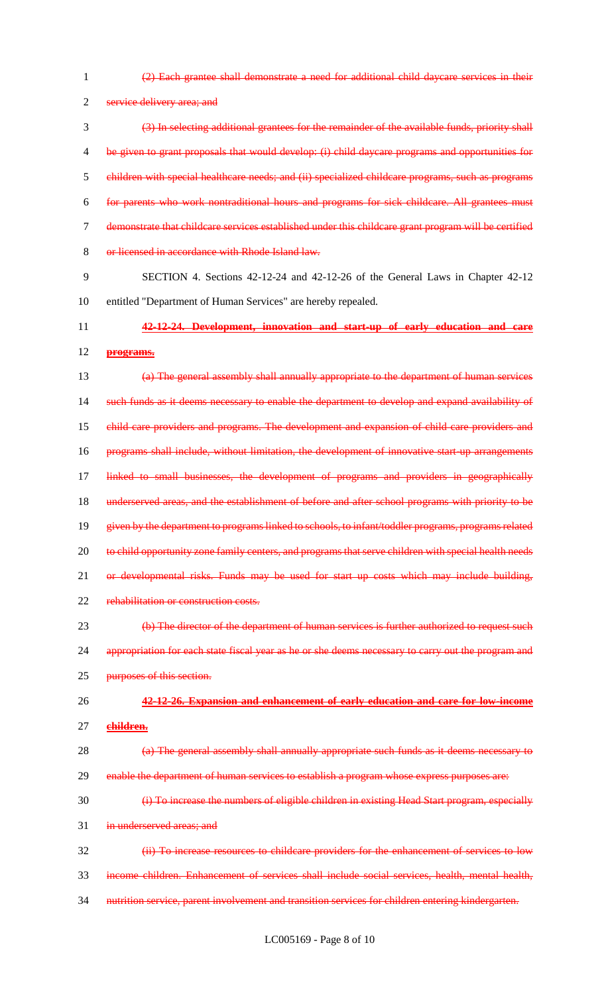1 (2) Each grantee shall demonstrate a need for additional child daycare services in their 2 service delivery area; and 3 (3) In selecting additional grantees for the remainder of the available funds, priority shall 4 be given to grant proposals that would develop: (i) child daycare programs and opportunities for 5 children with special healthcare needs; and (ii) specialized childcare programs, such as programs 6 for parents who work nontraditional hours and programs for sick childcare. All grantees must 7 demonstrate that childcare services established under this childcare grant program will be certified 8 or licensed in accordance with Rhode Island law. 9 SECTION 4. Sections 42-12-24 and 42-12-26 of the General Laws in Chapter 42-12 10 entitled "Department of Human Services" are hereby repealed. 11 **42-12-24. Development, innovation and start-up of early education and care**  12 **programs.** 13 (a) The general assembly shall annually appropriate to the department of human services 14 such funds as it deems necessary to enable the department to develop and expand availability of 15 child care providers and programs. The development and expansion of child care providers and 16 programs shall include, without limitation, the development of innovative start up arrangements 17 linked to small businesses, the development of programs and providers in geographically 18 underserved areas, and the establishment of before and after school programs with priority to be 19 given by the department to programs linked to schools, to infant/toddler programs, programs related 20 to child opportunity zone family centers, and programs that serve children with special health needs 21 or developmental risks. Funds may be used for start up costs which may include building, 22 rehabilitation or construction costs. 23 (b) The director of the department of human services is further authorized to request such 24 appropriation for each state fiscal year as he or she deems necessary to carry out the program and 25 purposes of this section. 26 **42-12-26. Expansion and enhancement of early education and care for low-income**  27 **children.** 28 (a) The general assembly shall annually appropriate such funds as it deems necessary to 29 enable the department of human services to establish a program whose express purposes are: 30 (i) To increase the numbers of eligible children in existing Head Start program, especially 31 in underserved areas; and 32 (ii) To increase resources to childcare providers for the enhancement of services to low 33 income children. Enhancement of services shall include social services, health, mental health, 34 nutrition service, parent involvement and transition services for children entering kindergarten.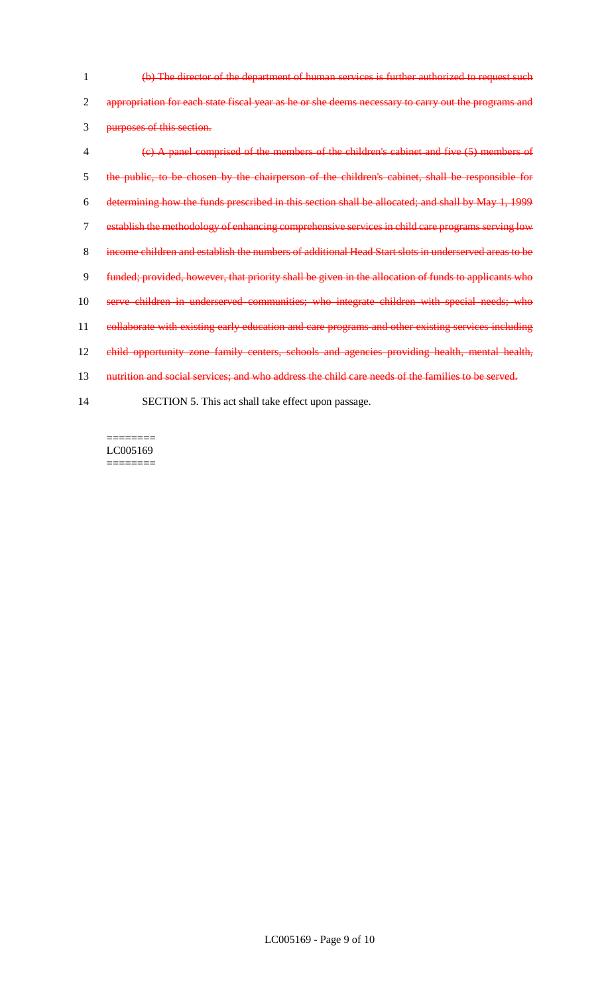(b) The director of the department of human services is further authorized to request such 2 appropriation for each state fiscal year as he or she deems necessary to carry out the programs and purposes of this section. (c) A panel comprised of the members of the children's cabinet and five (5) members of the public, to be chosen by the chairperson of the children's cabinet, shall be responsible for determining how the funds prescribed in this section shall be allocated; and shall by May 1, 1999 establish the methodology of enhancing comprehensive services in child care programs serving low income children and establish the numbers of additional Head Start slots in underserved areas to be funded; provided, however, that priority shall be given in the allocation of funds to applicants who serve children in underserved communities; who integrate children with special needs; who 11 collaborate with existing early education and care programs and other existing services including child opportunity zone family centers, schools and agencies providing health, mental health, 13 nutrition and social services; and who address the child care needs of the families to be served. SECTION 5. This act shall take effect upon passage.

 $=$ LC005169 ========